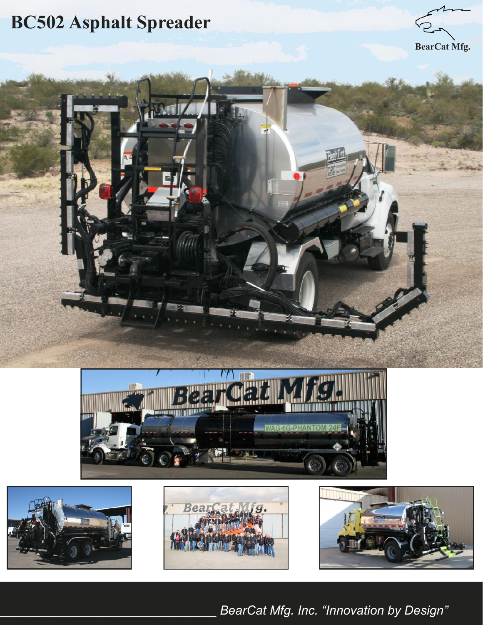# **BC502 Asphalt Spreader**













\_\_\_\_\_\_\_\_\_\_\_\_\_\_\_\_\_\_\_\_\_\_\_\_\_\_\_\_\_\_\_ *BearCat Mfg. Inc. "Innovation by Design"*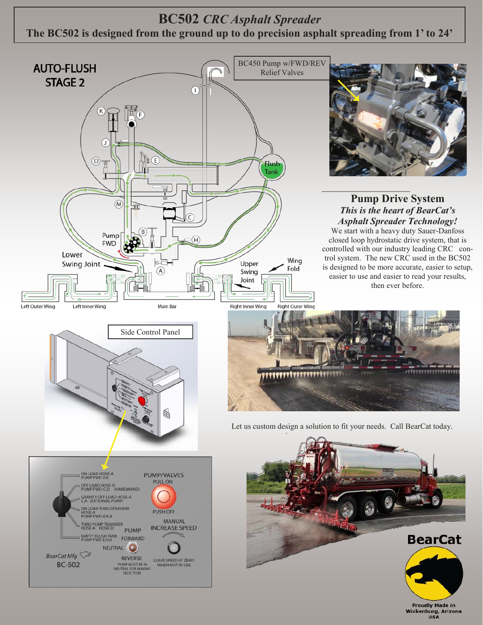#### **BC502** *CRC Asphalt Spreader* **The BC502 is designed from the ground up to do precision asphalt spreading from 1' to 24'**



**Proudly Made in** Wickenburg, Arizona<br>USA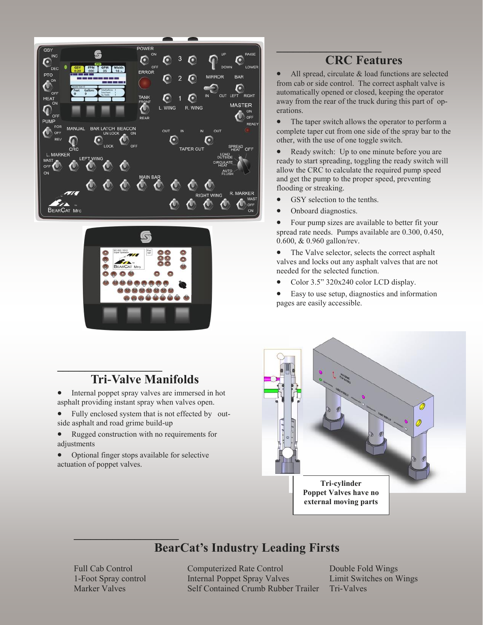



# **CRC Features**

• All spread, circulate & load functions are selected from cab or side control. The correct asphalt valve is automatically opened or closed, keeping the operator away from the rear of the truck during this part of operations.

• The taper switch allows the operator to perform a complete taper cut from one side of the spray bar to the other, with the use of one toggle switch.

• Ready switch: Up to one minute before you are ready to start spreading, toggling the ready switch will allow the CRC to calculate the required pump speed and get the pump to the proper speed, preventing flooding or streaking.

- GSY selection to the tenths.
- Onboard diagnostics.

• Four pump sizes are available to better fit your spread rate needs. Pumps available are 0.300, 0.450, 0.600, & 0.960 gallon/rev.

• The Valve selector, selects the correct asphalt valves and locks out any asphalt valves that are not needed for the selected function.

• Color 3.5" 320x240 color LCD display.

 Easy to use setup, diagnostics and information pages are easily accessible.



## **Tri-Valve Manifolds**

• Internal poppet spray valves are immersed in hot asphalt providing instant spray when valves open.

- Fully enclosed system that is not effected by outside asphalt and road grime build-up
- Rugged construction with no requirements for adjustments
- Optional finger stops available for selective actuation of poppet valves.

#### **\_\_\_\_\_\_\_\_\_\_\_\_\_\_\_\_\_\_\_ BearCat's Industry Leading Firsts**

Full Cab Control Computerized Rate Control Double Fold Wings 1-Foot Spray control **Internal Poppet Spray Valves** Limit Switches on Wings Marker Valves Self Contained Crumb Rubber Trailer Tri-Valves